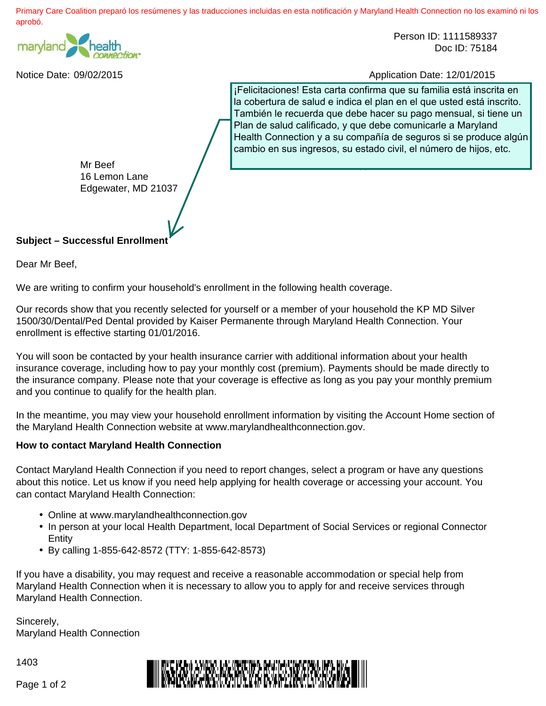Primary Care Coalition preparó los resúmenes y las traducciones incluidas en esta notificación y Maryland Health Connection no los examinó ni los aprobó.



Person ID: 1111589337 Doc ID: 75184

Notice Date: 09/02/2015 Application Date: 12/01/2015

¡Felicitaciones! Esta carta confirma que su familia está inscrita en la cobertura de salud e indica el plan en el que usted está inscrito. También le recuerda que debe hacer su pago mensual, si tiene un Plan de salud calificado, y que debe comunicarle a Maryland Health Connection y a su compañía de seguros si se produce algún cambio en sus ingresos, su estado civil, el número de hijos, etc.

Application ID: 37638

Mr Beef 16 Lemon Lane Edgewater, MD 21037

## **Subject – Successful Enrollment**

Dear Mr Beef,

We are writing to confirm your household's enrollment in the following health coverage.

Our records show that you recently selected for yourself or a member of your household the KP MD Silver 1500/30/Dental/Ped Dental provided by Kaiser Permanente through Maryland Health Connection. Your enrollment is effective starting 01/01/2016.

You will soon be contacted by your health insurance carrier with additional information about your health insurance coverage, including how to pay your monthly cost (premium). Payments should be made directly to the insurance company. Please note that your coverage is effective as long as you pay your monthly premium and you continue to qualify for the health plan.

In the meantime, you may view your household enrollment information by visiting the Account Home section of the Maryland Health Connection website at www.marylandhealthconnection.gov.

## **How to contact Maryland Health Connection**

Contact Maryland Health Connection if you need to report changes, select a program or have any questions about this notice. Let us know if you need help applying for health coverage or accessing your account. You can contact Maryland Health Connection:

- Online at www.marylandhealthconnection.gov
- In person at your local Health Department, local Department of Social Services or regional Connector **Entity**
- By calling 1-855-642-8572 (TTY: 1-855-642-8573)

If you have a disability, you may request and receive a reasonable accommodation or special help from Maryland Health Connection when it is necessary to allow you to apply for and receive services through Maryland Health Connection.

Sincerely, Maryland Health Connection

1403



Page 1 of 2